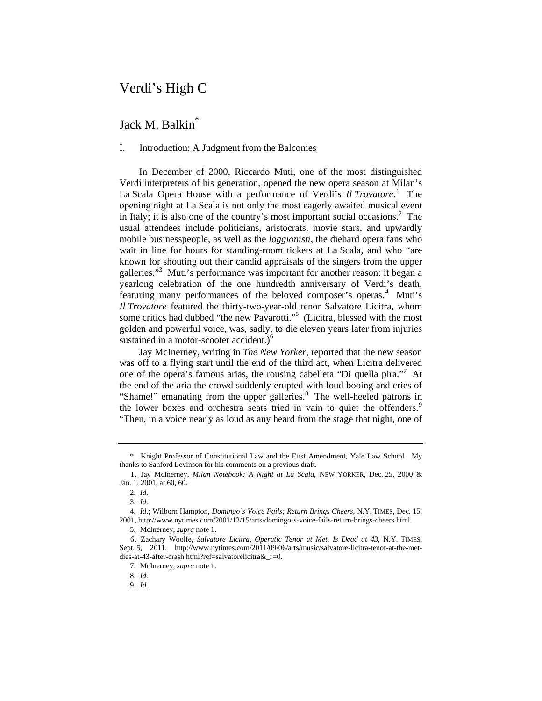# Verdi's High C

# Jack M. Balkin<sup>\*</sup>

# I. Introduction: A Judgment from the Balconies

In December of 2000, Riccardo Muti, one of the most distinguished Verdi interpreters of his generation, opened the new opera season at Milan's La Scala Opera House with a performance of Verdi's *Il Trovatore*.<sup>1</sup> The opening night at La Scala is not only the most eagerly awaited musical event in Italy; it is also one of the country's most important social occasions.<sup>2</sup> The usual attendees include politicians, aristocrats, movie stars, and upwardly mobile businesspeople, as well as the *loggionisti*, the diehard opera fans who wait in line for hours for standing-room tickets at La Scala, and who "are known for shouting out their candid appraisals of the singers from the upper galleries."<sup>3</sup> Muti's performance was important for another reason: it began a yearlong celebration of the one hundredth anniversary of Verdi's death, featuring many performances of the beloved composer's operas.<sup>4</sup> Muti's *Il Trovatore* featured the thirty-two-year-old tenor Salvatore Licitra, whom some critics had dubbed "the new Pavarotti."<sup>5</sup> (Licitra, blessed with the most golden and powerful voice, was, sadly, to die eleven years later from injuries sustained in a motor-scooter accident.)<sup>6</sup>

Jay McInerney, writing in *The New Yorker*, reported that the new season was off to a flying start until the end of the third act, when Licitra delivered one of the opera's famous arias, the rousing cabelleta "Di quella pira."<sup>7</sup> At the end of the aria the crowd suddenly erupted with loud booing and cries of "Shame!" emanating from the upper galleries.<sup>8</sup> The well-heeled patrons in the lower boxes and orchestra seats tried in vain to quiet the offenders.<sup>9</sup> "Then, in a voice nearly as loud as any heard from the stage that night, one of

 <sup>\*</sup> Knight Professor of Constitutional Law and the First Amendment, Yale Law School. My thanks to Sanford Levinson for his comments on a previous draft.

<sup>1.</sup> Jay McInerney, *Milan Notebook: A Night at La Scala*, NEW YORKER, Dec. 25, 2000 & Jan. 1, 2001, at 60, 60.

<sup>2.</sup> *Id.*

<sup>3.</sup> *Id.*

<sup>4.</sup> *Id.*; Wilborn Hampton, *Domingo's Voice Fails; Return Brings Cheers*, N.Y. TIMES, Dec. 15, 2001, http://www.nytimes.com/2001/12/15/arts/domingo-s-voice-fails-return-brings-cheers.html.

<sup>5.</sup> McInerney, *supra* note 1.

<sup>6.</sup> Zachary Woolfe, *Salvatore Licitra, Operatic Tenor at Met, Is Dead at 43*, N.Y. TIMES, Sept. 5, 2011, http://www.nytimes.com/2011/09/06/arts/music/salvatore-licitra-tenor-at-the-metdies-at-43-after-crash.html?ref=salvatorelicitra&\_r=0.

<sup>7.</sup> McInerney, *supra* note 1.

<sup>8.</sup> *Id.*

<sup>9.</sup> *Id.*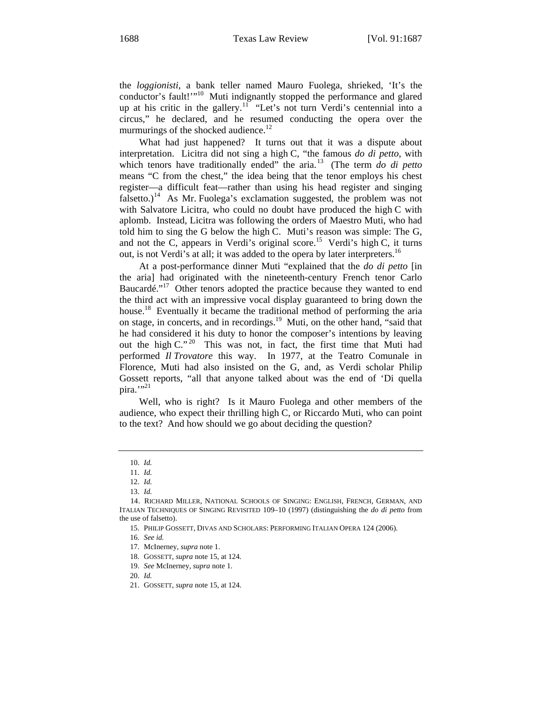the *loggionisti*, a bank teller named Mauro Fuolega, shrieked, 'It's the conductor's fault!"<sup>10</sup> Muti indignantly stopped the performance and glared up at his critic in the gallery.<sup>11</sup> "Let's not turn Verdi's centennial into a circus," he declared, and he resumed conducting the opera over the murmurings of the shocked audience.<sup>12</sup>

What had just happened? It turns out that it was a dispute about interpretation. Licitra did not sing a high C, "the famous *do di petto*, with which tenors have traditionally ended" the aria.<sup>13</sup> (The term *do di petto* means "C from the chest," the idea being that the tenor employs his chest register—a difficult feat—rather than using his head register and singing falsetto.)<sup>14</sup> As Mr. Fuolega's exclamation suggested, the problem was not with Salvatore Licitra, who could no doubt have produced the high C with aplomb. Instead, Licitra was following the orders of Maestro Muti, who had told him to sing the G below the high C. Muti's reason was simple: The G, and not the C, appears in Verdi's original score.<sup>15</sup> Verdi's high C, it turns out, is not Verdi's at all; it was added to the opera by later interpreters.<sup>16</sup>

At a post-performance dinner Muti "explained that the *do di petto* [in the aria] had originated with the nineteenth-century French tenor Carlo Baucardé."<sup>17</sup> Other tenors adopted the practice because they wanted to end the third act with an impressive vocal display guaranteed to bring down the house.<sup>18</sup> Eventually it became the traditional method of performing the aria on stage, in concerts, and in recordings.19 Muti, on the other hand, "said that he had considered it his duty to honor the composer's intentions by leaving out the high C."<sup>20</sup> This was not, in fact, the first time that Muti had performed *Il Trovatore* this way. In 1977, at the Teatro Comunale in Florence, Muti had also insisted on the G, and, as Verdi scholar Philip Gossett reports, "all that anyone talked about was the end of 'Di quella pira."<sup>21</sup>

Well, who is right? Is it Mauro Fuolega and other members of the audience, who expect their thrilling high C, or Riccardo Muti, who can point to the text? And how should we go about deciding the question?

<sup>10.</sup> *Id.*

<sup>11.</sup> *Id.*

<sup>12.</sup> *Id.*

<sup>13.</sup> *Id.*

<sup>14.</sup> RICHARD MILLER, NATIONAL SCHOOLS OF SINGING: ENGLISH, FRENCH, GERMAN, AND ITALIAN TECHNIQUES OF SINGING REVISITED 109–10 (1997) (distinguishing the *do di petto* from the use of falsetto).

<sup>15.</sup> PHILIP GOSSETT, DIVAS AND SCHOLARS: PERFORMING ITALIAN OPERA 124 (2006).

<sup>16.</sup> *See id.* 

<sup>17.</sup> McInerney, *supra* note 1.

<sup>18.</sup> GOSSETT, *supra* note 15, at 124.

<sup>19.</sup> *See* McInerney, *supra* note 1.

<sup>20.</sup> *Id.*

<sup>21.</sup> GOSSETT, *supra* note 15, at 124.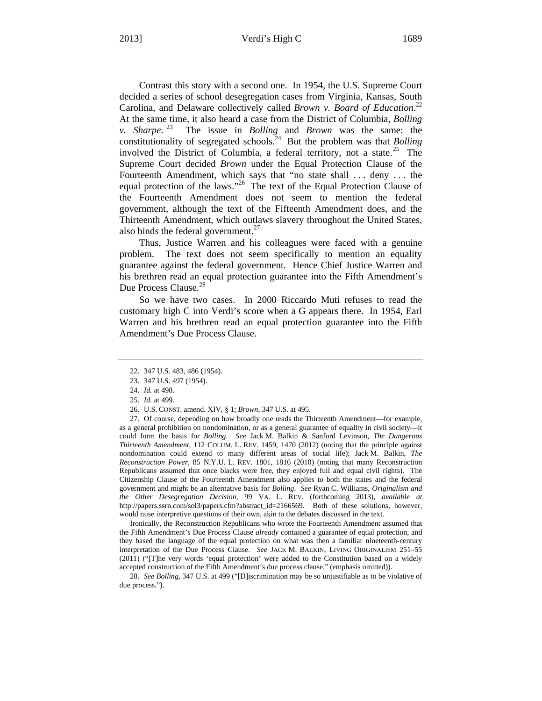Contrast this story with a second one. In 1954, the U.S. Supreme Court decided a series of school desegregation cases from Virginia, Kansas, South Carolina, and Delaware collectively called *Brown v. Board of Education*. 22 At the same time, it also heard a case from the District of Columbia, *Bolling v. Sharpe*. 23 The issue in *Bolling* and *Brown* was the same: the constitutionality of segregated schools.<sup>24</sup> But the problem was that *Bolling* involved the District of Columbia, a federal territory, not a state.<sup>25</sup> The Supreme Court decided *Brown* under the Equal Protection Clause of the Fourteenth Amendment, which says that "no state shall ... deny ... the equal protection of the laws."<sup>26</sup> The text of the Equal Protection Clause of the Fourteenth Amendment does not seem to mention the federal government, although the text of the Fifteenth Amendment does, and the Thirteenth Amendment, which outlaws slavery throughout the United States, also binds the federal government.<sup>27</sup>

Thus, Justice Warren and his colleagues were faced with a genuine problem. The text does not seem specifically to mention an equality guarantee against the federal government. Hence Chief Justice Warren and his brethren read an equal protection guarantee into the Fifth Amendment's Due Process Clause.<sup>28</sup>

So we have two cases. In 2000 Riccardo Muti refuses to read the customary high C into Verdi's score when a G appears there. In 1954, Earl Warren and his brethren read an equal protection guarantee into the Fifth Amendment's Due Process Clause.

 Ironically, the Reconstruction Republicans who wrote the Fourteenth Amendment assumed that the Fifth Amendment's Due Process Clause *already* contained a guarantee of equal protection, and they based the language of the equal protection on what was then a familiar nineteenth-century interpretation of the Due Process Clause. *See* JACK M. BALKIN, LIVING ORIGINALISM 251–55 (2011) ("[T]he very words 'equal protection' were added to the Constitution based on a widely accepted construction of the Fifth Amendment's due process clause." (emphasis omitted)).

28. *See Bolling*, 347 U.S. at 499 ("[D]iscrimination may be so unjustifiable as to be violative of due process.").

<sup>22. 347</sup> U.S. 483, 486 (1954).

<sup>23. 347</sup> U.S. 497 (1954).

<sup>24.</sup> *Id.* at 498.

<sup>25.</sup> *Id.* at 499.

<sup>26.</sup> U.S. CONST. amend. XIV, § 1; *Brown*, 347 U.S. at 495.

<sup>27.</sup> Of course, depending on how broadly one reads the Thirteenth Amendment—for example, as a general prohibition on nondomination, or as a general guarantee of equality in civil society—it could form the basis for *Bolling*. *See* Jack M. Balkin & Sanford Levinson, *The Dangerous Thirteenth Amendment*, 112 COLUM. L. REV. 1459, 1470 (2012) (noting that the principle against nondomination could extend to many different areas of social life); Jack M. Balkin, *The Reconstruction Power*, 85 N.Y.U. L. REV. 1801, 1816 (2010) (noting that many Reconstruction Republicans assumed that once blacks were free, they enjoyed full and equal civil rights). The Citizenship Clause of the Fourteenth Amendment also applies to both the states and the federal government and might be an alternative basis for *Bolling*. *See* Ryan C. Williams, *Originalism and the Other Desegregation Decision*, 99 VA. L. REV. (forthcoming 2013), *available at* http://papers.ssrn.com/sol3/papers.cfm?abstract\_id=2166569. Both of these solutions, however, would raise interpretive questions of their own, akin to the debates discussed in the text.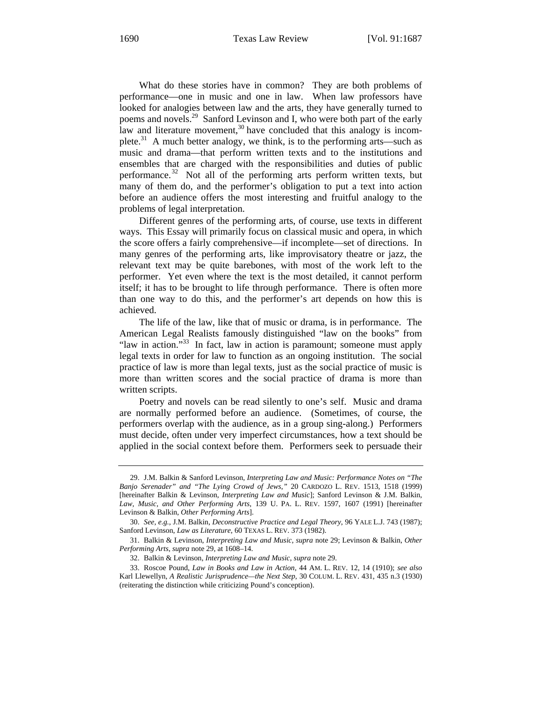What do these stories have in common? They are both problems of performance—one in music and one in law. When law professors have looked for analogies between law and the arts, they have generally turned to poems and novels.<sup>29</sup> Sanford Levinson and I, who were both part of the early law and literature movement,  $30$  have concluded that this analogy is incomplete. $31$  A much better analogy, we think, is to the performing arts—such as music and drama—that perform written texts and to the institutions and ensembles that are charged with the responsibilities and duties of public performance.<sup>32</sup> Not all of the performing arts perform written texts, but many of them do, and the performer's obligation to put a text into action before an audience offers the most interesting and fruitful analogy to the problems of legal interpretation.

Different genres of the performing arts, of course, use texts in different ways. This Essay will primarily focus on classical music and opera, in which the score offers a fairly comprehensive—if incomplete—set of directions. In many genres of the performing arts, like improvisatory theatre or jazz, the relevant text may be quite barebones, with most of the work left to the performer. Yet even where the text is the most detailed, it cannot perform itself; it has to be brought to life through performance. There is often more than one way to do this, and the performer's art depends on how this is achieved.

The life of the law, like that of music or drama, is in performance. The American Legal Realists famously distinguished "law on the books" from "law in action."<sup>33</sup> In fact, law in action is paramount; someone must apply legal texts in order for law to function as an ongoing institution. The social practice of law is more than legal texts, just as the social practice of music is more than written scores and the social practice of drama is more than written scripts.

Poetry and novels can be read silently to one's self. Music and drama are normally performed before an audience. (Sometimes, of course, the performers overlap with the audience, as in a group sing-along.) Performers must decide, often under very imperfect circumstances, how a text should be applied in the social context before them. Performers seek to persuade their

<sup>29.</sup> J.M. Balkin & Sanford Levinson, *Interpreting Law and Music: Performance Notes on "The Banjo Serenader" and "The Lying Crowd of Jews*,*"* 20 CARDOZO L. REV. 1513, 1518 (1999) [hereinafter Balkin & Levinson, *Interpreting Law and Music*]; Sanford Levinson & J.M. Balkin, *Law, Music, and Other Performing Arts*, 139 U. PA. L. REV. 1597, 1607 (1991) [hereinafter Levinson & Balkin, *Other Performing Arts*].

<sup>30.</sup> *See, e.g.*, J.M. Balkin, *Deconstructive Practice and Legal Theory*, 96 YALE L.J. 743 (1987); Sanford Levinson, *Law as Literature*, 60 TEXAS L. REV. 373 (1982).

<sup>31.</sup> Balkin & Levinson, *Interpreting Law and Music*, *supra* note 29; Levinson & Balkin, *Other Performing Arts*, *supra* note 29, at 1608–14.

<sup>32.</sup> Balkin & Levinson, *Interpreting Law and Music*, *supra* note 29.

<sup>33.</sup> Roscoe Pound, *Law in Books and Law in Action*, 44 AM. L. REV. 12, 14 (1910); *see also* Karl Llewellyn, *A Realistic Jurisprudence—the Next Step*, 30 COLUM. L. REV. 431, 435 n.3 (1930) (reiterating the distinction while criticizing Pound's conception).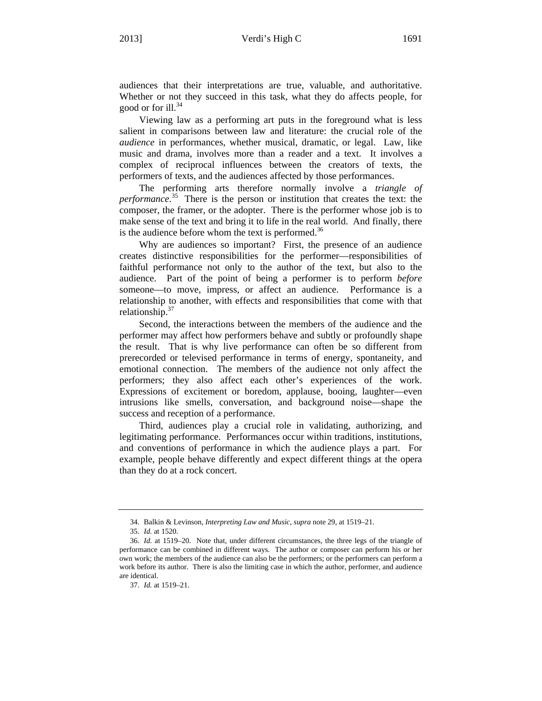audiences that their interpretations are true, valuable, and authoritative. Whether or not they succeed in this task, what they do affects people, for good or for ill. $^{34}$ 

Viewing law as a performing art puts in the foreground what is less salient in comparisons between law and literature: the crucial role of the *audience* in performances, whether musical, dramatic, or legal. Law, like music and drama, involves more than a reader and a text. It involves a complex of reciprocal influences between the creators of texts, the performers of texts, and the audiences affected by those performances.

The performing arts therefore normally involve a *triangle of performance*. 35 There is the person or institution that creates the text: the composer, the framer, or the adopter. There is the performer whose job is to make sense of the text and bring it to life in the real world. And finally, there is the audience before whom the text is performed.<sup>36</sup>

Why are audiences so important? First, the presence of an audience creates distinctive responsibilities for the performer—responsibilities of faithful performance not only to the author of the text, but also to the audience. Part of the point of being a performer is to perform *before* someone—to move, impress, or affect an audience. Performance is a relationship to another, with effects and responsibilities that come with that relationship. $37$ 

Second, the interactions between the members of the audience and the performer may affect how performers behave and subtly or profoundly shape the result. That is why live performance can often be so different from prerecorded or televised performance in terms of energy, spontaneity, and emotional connection. The members of the audience not only affect the performers; they also affect each other's experiences of the work. Expressions of excitement or boredom, applause, booing, laughter—even intrusions like smells, conversation, and background noise—shape the success and reception of a performance.

Third, audiences play a crucial role in validating, authorizing, and legitimating performance. Performances occur within traditions, institutions, and conventions of performance in which the audience plays a part. For example, people behave differently and expect different things at the opera than they do at a rock concert.

<sup>34.</sup> Balkin & Levinson, *Interpreting Law and Music*, *supra* note 29, at 1519–21.

<sup>35.</sup> *Id.* at 1520.

<sup>36.</sup> *Id.* at 1519–20. Note that, under different circumstances, the three legs of the triangle of performance can be combined in different ways. The author or composer can perform his or her own work; the members of the audience can also be the performers; or the performers can perform a work before its author. There is also the limiting case in which the author, performer, and audience are identical.

<sup>37.</sup> *Id.* at 1519–21.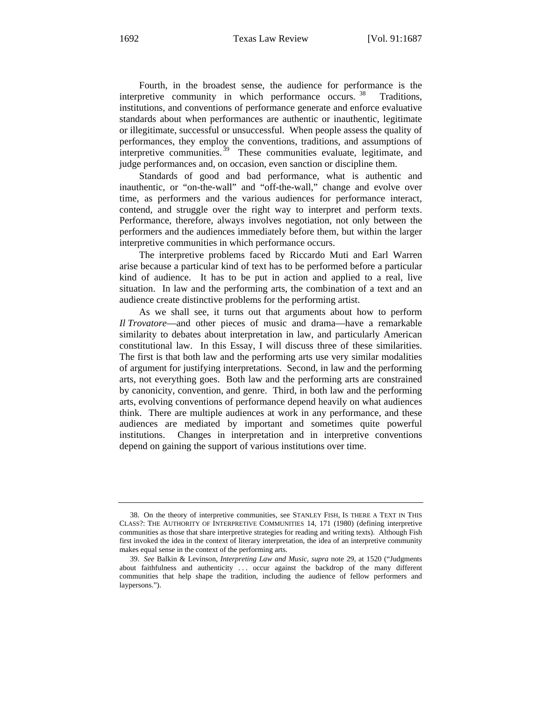Fourth, in the broadest sense, the audience for performance is the interpretive community in which performance occurs.<sup>38</sup> Traditions, institutions, and conventions of performance generate and enforce evaluative standards about when performances are authentic or inauthentic, legitimate or illegitimate, successful or unsuccessful. When people assess the quality of performances, they employ the conventions, traditions, and assumptions of interpretive communities.<sup>39</sup> These communities evaluate, legitimate, and judge performances and, on occasion, even sanction or discipline them.

Standards of good and bad performance, what is authentic and inauthentic, or "on-the-wall" and "off-the-wall," change and evolve over time, as performers and the various audiences for performance interact, contend, and struggle over the right way to interpret and perform texts. Performance, therefore, always involves negotiation, not only between the performers and the audiences immediately before them, but within the larger interpretive communities in which performance occurs.

The interpretive problems faced by Riccardo Muti and Earl Warren arise because a particular kind of text has to be performed before a particular kind of audience. It has to be put in action and applied to a real, live situation. In law and the performing arts, the combination of a text and an audience create distinctive problems for the performing artist.

As we shall see, it turns out that arguments about how to perform *Il Trovatore*—and other pieces of music and drama—have a remarkable similarity to debates about interpretation in law, and particularly American constitutional law. In this Essay, I will discuss three of these similarities. The first is that both law and the performing arts use very similar modalities of argument for justifying interpretations. Second, in law and the performing arts, not everything goes. Both law and the performing arts are constrained by canonicity, convention, and genre. Third, in both law and the performing arts, evolving conventions of performance depend heavily on what audiences think. There are multiple audiences at work in any performance, and these audiences are mediated by important and sometimes quite powerful institutions. Changes in interpretation and in interpretive conventions depend on gaining the support of various institutions over time.

<sup>38.</sup> On the theory of interpretive communities, see STANLEY FISH, IS THERE A TEXT IN THIS CLASS?: THE AUTHORITY OF INTERPRETIVE COMMUNITIES 14, 171 (1980) (defining interpretive communities as those that share interpretive strategies for reading and writing texts). Although Fish first invoked the idea in the context of literary interpretation, the idea of an interpretive community makes equal sense in the context of the performing arts.

<sup>39.</sup> *See* Balkin & Levinson, *Interpreting Law and Music*, *supra* note 29, at 1520 ("Judgments about faithfulness and authenticity . . . occur against the backdrop of the many different communities that help shape the tradition, including the audience of fellow performers and laypersons.").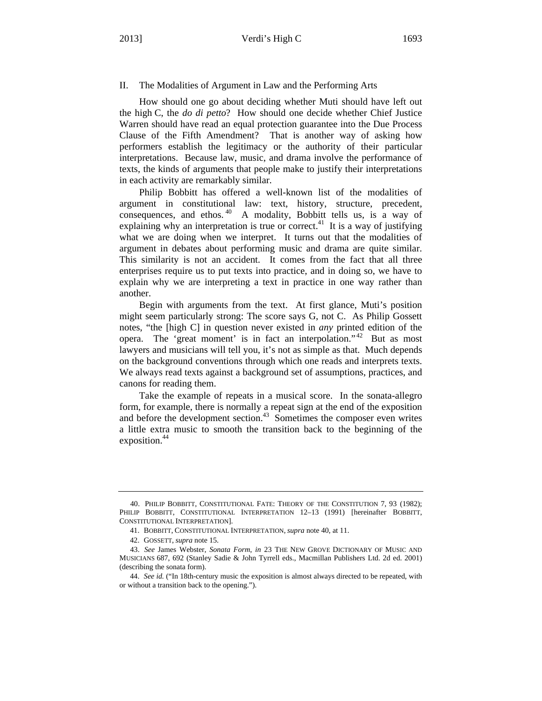II. The Modalities of Argument in Law and the Performing Arts

How should one go about deciding whether Muti should have left out the high C, the *do di petto*? How should one decide whether Chief Justice Warren should have read an equal protection guarantee into the Due Process Clause of the Fifth Amendment? That is another way of asking how performers establish the legitimacy or the authority of their particular interpretations. Because law, music, and drama involve the performance of texts, the kinds of arguments that people make to justify their interpretations in each activity are remarkably similar.

Philip Bobbitt has offered a well-known list of the modalities of argument in constitutional law: text, history, structure, precedent, consequences, and ethos.  $40$  A modality, Bobbitt tells us, is a way of explaining why an interpretation is true or correct.<sup>41</sup> It is a way of justifying what we are doing when we interpret. It turns out that the modalities of argument in debates about performing music and drama are quite similar. This similarity is not an accident. It comes from the fact that all three enterprises require us to put texts into practice, and in doing so, we have to explain why we are interpreting a text in practice in one way rather than another.

Begin with arguments from the text. At first glance, Muti's position might seem particularly strong: The score says G, not C. As Philip Gossett notes, "the [high C] in question never existed in *any* printed edition of the opera. The 'great moment' is in fact an interpolation."<sup>42</sup> But as most lawyers and musicians will tell you, it's not as simple as that. Much depends on the background conventions through which one reads and interprets texts. We always read texts against a background set of assumptions, practices, and canons for reading them.

Take the example of repeats in a musical score. In the sonata-allegro form, for example, there is normally a repeat sign at the end of the exposition and before the development section.<sup>43</sup> Sometimes the composer even writes a little extra music to smooth the transition back to the beginning of the exposition.<sup>44</sup>

<sup>40.</sup> PHILIP BOBBITT, CONSTITUTIONAL FATE: THEORY OF THE CONSTITUTION 7, 93 (1982); PHILIP BOBBITT, CONSTITUTIONAL INTERPRETATION 12–13 (1991) [hereinafter BOBBITT, CONSTITUTIONAL INTERPRETATION].

<sup>41.</sup> BOBBITT, CONSTITUTIONAL INTERPRETATION, *supra* note 40, at 11.

<sup>42.</sup> GOSSETT, *supra* note 15.

<sup>43.</sup> *See* James Webster, *Sonata Form*, *in* 23 THE NEW GROVE DICTIONARY OF MUSIC AND MUSICIANS 687, 692 (Stanley Sadie & John Tyrrell eds., Macmillan Publishers Ltd. 2d ed. 2001) (describing the sonata form).

<sup>44.</sup> *See id.* ("In 18th-century music the exposition is almost always directed to be repeated, with or without a transition back to the opening.").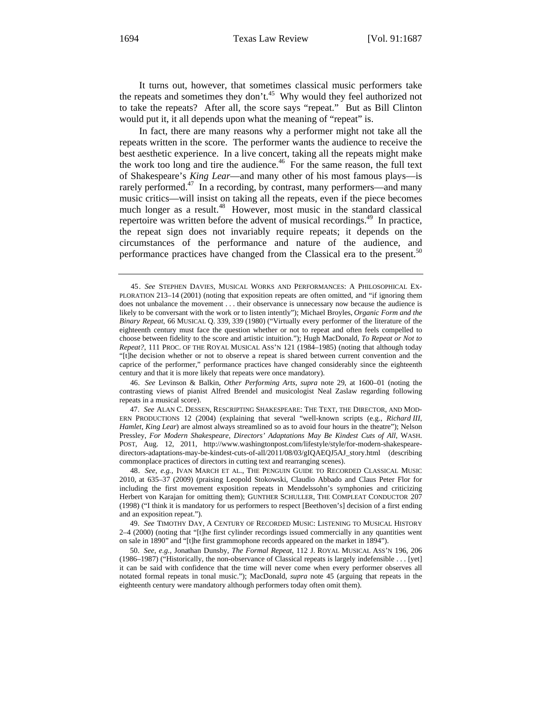It turns out, however, that sometimes classical music performers take the repeats and sometimes they don't.<sup>45</sup> Why would they feel authorized not to take the repeats? After all, the score says "repeat." But as Bill Clinton would put it, it all depends upon what the meaning of "repeat" is.

In fact, there are many reasons why a performer might not take all the repeats written in the score. The performer wants the audience to receive the best aesthetic experience. In a live concert, taking all the repeats might make the work too long and tire the audience.<sup>46</sup> For the same reason, the full text of Shakespeare's *King Lear*—and many other of his most famous plays—is rarely performed.<sup>47</sup> In a recording, by contrast, many performers—and many music critics—will insist on taking all the repeats, even if the piece becomes much longer as a result.<sup>48</sup> However, most music in the standard classical repertoire was written before the advent of musical recordings.<sup>49</sup> In practice, the repeat sign does not invariably require repeats; it depends on the circumstances of the performance and nature of the audience, and performance practices have changed from the Classical era to the present.<sup>50</sup>

46. *See* Levinson & Balkin, *Other Performing Arts*, *supra* note 29, at 1600–01 (noting the contrasting views of pianist Alfred Brendel and musicologist Neal Zaslaw regarding following repeats in a musical score).

47. *See* ALAN C. DESSEN, RESCRIPTING SHAKESPEARE: THE TEXT, THE DIRECTOR, AND MOD-ERN PRODUCTIONS 12 (2004) (explaining that several "well-known scripts (e.g., *Richard III*, *Hamlet*, *King Lear*) are almost always streamlined so as to avoid four hours in the theatre"); Nelson Pressley, *For Modern Shakespeare, Directors' Adaptations May Be Kindest Cuts of All*, WASH. POST, Aug. 12, 2011, http://www.washingtonpost.com/lifestyle/style/for-modern-shakespearedirectors-adaptations-may-be-kindest-cuts-of-all/2011/08/03/gIQAEQJ5AJ\_story.html (describing commonplace practices of directors in cutting text and rearranging scenes).

48. *See, e.g.*, IVAN MARCH ET AL., THE PENGUIN GUIDE TO RECORDED CLASSICAL MUSIC 2010, at 635–37 (2009) (praising Leopold Stokowski, Claudio Abbado and Claus Peter Flor for including the first movement exposition repeats in Mendelssohn's symphonies and criticizing Herbert von Karajan for omitting them); GUNTHER SCHULLER, THE COMPLEAT CONDUCTOR 207 (1998) ("I think it is mandatory for us performers to respect [Beethoven's] decision of a first ending and an exposition repeat.").

49. *See* TIMOTHY DAY, A CENTURY OF RECORDED MUSIC: LISTENING TO MUSICAL HISTORY 2–4 (2000) (noting that "[t]he first cylinder recordings issued commercially in any quantities went on sale in 1890" and "[t]he first grammophone records appeared on the market in 1894").

50. *See, e.g.*, Jonathan Dunsby, *The Formal Repeat*, 112 J. ROYAL MUSICAL ASS'N 196, 206 (1986–1987) ("Historically, the non-observance of Classical repeats is largely indefensible . . . [yet] it can be said with confidence that the time will never come when every performer observes all notated formal repeats in tonal music."); MacDonald, *supra* note 45 (arguing that repeats in the eighteenth century were mandatory although performers today often omit them).

<sup>45.</sup> *See* STEPHEN DAVIES, MUSICAL WORKS AND PERFORMANCES: A PHILOSOPHICAL EX-PLORATION 213–14 (2001) (noting that exposition repeats are often omitted, and "if ignoring them does not unbalance the movement . . . their observance is unnecessary now because the audience is likely to be conversant with the work or to listen intently"); Michael Broyles, *Organic Form and the Binary Repeat*, 66 MUSICAL Q. 339, 339 (1980) ("Virtually every performer of the literature of the eighteenth century must face the question whether or not to repeat and often feels compelled to choose between fidelity to the score and artistic intuition."); Hugh MacDonald, *To Repeat or Not to Repeat?*, 111 PROC. OF THE ROYAL MUSICAL ASS'N 121 (1984–1985) (noting that although today "[t]he decision whether or not to observe a repeat is shared between current convention and the caprice of the performer," performance practices have changed considerably since the eighteenth century and that it is more likely that repeats were once mandatory).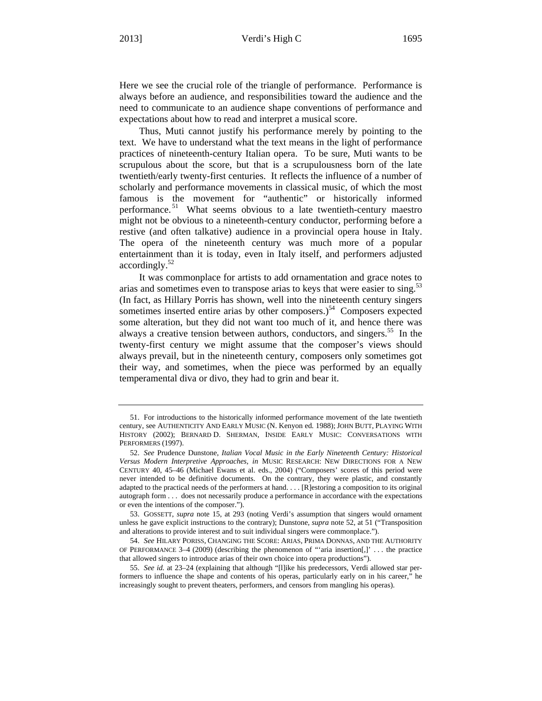Here we see the crucial role of the triangle of performance. Performance is always before an audience, and responsibilities toward the audience and the need to communicate to an audience shape conventions of performance and expectations about how to read and interpret a musical score.

Thus, Muti cannot justify his performance merely by pointing to the text. We have to understand what the text means in the light of performance practices of nineteenth-century Italian opera. To be sure, Muti wants to be scrupulous about the score, but that is a scrupulousness born of the late twentieth/early twenty-first centuries. It reflects the influence of a number of scholarly and performance movements in classical music, of which the most famous is the movement for "authentic" or historically informed performance. 51 What seems obvious to a late twentieth-century maestro might not be obvious to a nineteenth-century conductor, performing before a restive (and often talkative) audience in a provincial opera house in Italy. The opera of the nineteenth century was much more of a popular entertainment than it is today, even in Italy itself, and performers adjusted  $accordingly.<sup>52</sup>$ 

It was commonplace for artists to add ornamentation and grace notes to arias and sometimes even to transpose arias to keys that were easier to sing.<sup>53</sup> (In fact, as Hillary Porris has shown, well into the nineteenth century singers sometimes inserted entire arias by other composers.) $54$  Composers expected some alteration, but they did not want too much of it, and hence there was always a creative tension between authors, conductors, and singers.<sup>55</sup> In the twenty-first century we might assume that the composer's views should always prevail, but in the nineteenth century, composers only sometimes got their way, and sometimes, when the piece was performed by an equally temperamental diva or divo, they had to grin and bear it.

<sup>51.</sup> For introductions to the historically informed performance movement of the late twentieth century, see AUTHENTICITY AND EARLY MUSIC (N. Kenyon ed. 1988); JOHN BUTT, PLAYING WITH HISTORY (2002); BERNARD D. SHERMAN, INSIDE EARLY MUSIC: CONVERSATIONS WITH PERFORMERS (1997).

<sup>52.</sup> *See* Prudence Dunstone, *Italian Vocal Music in the Early Nineteenth Century: Historical Versus Modern Interpretive Approaches*, *in* MUSIC RESEARCH: NEW DIRECTIONS FOR A NEW CENTURY 40, 45–46 (Michael Ewans et al. eds., 2004) ("Composers' scores of this period were never intended to be definitive documents. On the contrary, they were plastic, and constantly adapted to the practical needs of the performers at hand. . . . [R]estoring a composition to its original autograph form . . . does not necessarily produce a performance in accordance with the expectations or even the intentions of the composer.").

<sup>53.</sup> GOSSETT, *supra* note 15, at 293 (noting Verdi's assumption that singers would ornament unless he gave explicit instructions to the contrary); Dunstone, *supra* note 52, at 51 ("Transposition and alterations to provide interest and to suit individual singers were commonplace.").

<sup>54.</sup> *See* HILARY PORISS, CHANGING THE SCORE: ARIAS, PRIMA DONNAS, AND THE AUTHORITY OF PERFORMANCE 3–4 (2009) (describing the phenomenon of "'aria insertion[,]' . . . the practice that allowed singers to introduce arias of their own choice into opera productions").

<sup>55.</sup> *See id.* at 23–24 (explaining that although "[l]ike his predecessors, Verdi allowed star performers to influence the shape and contents of his operas, particularly early on in his career," he increasingly sought to prevent theaters, performers, and censors from mangling his operas).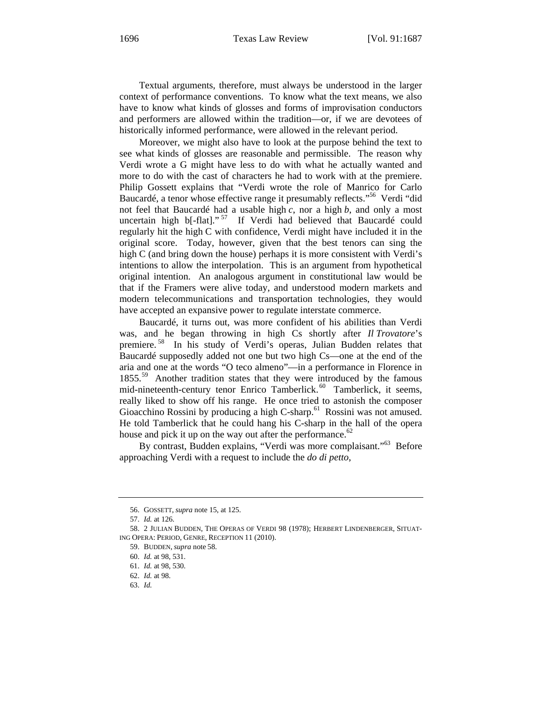Textual arguments, therefore, must always be understood in the larger context of performance conventions. To know what the text means, we also have to know what kinds of glosses and forms of improvisation conductors and performers are allowed within the tradition—or, if we are devotees of historically informed performance, were allowed in the relevant period.

Moreover, we might also have to look at the purpose behind the text to see what kinds of glosses are reasonable and permissible. The reason why Verdi wrote a G might have less to do with what he actually wanted and more to do with the cast of characters he had to work with at the premiere. Philip Gossett explains that "Verdi wrote the role of Manrico for Carlo Baucardé, a tenor whose effective range it presumably reflects."56 Verdi "did not feel that Baucardé had a usable high *c*, nor a high *b*, and only a most uncertain high b[-flat]."<sup>57</sup> If Verdi had believed that Baucardé could regularly hit the high C with confidence, Verdi might have included it in the original score. Today, however, given that the best tenors can sing the high C (and bring down the house) perhaps it is more consistent with Verdi's intentions to allow the interpolation. This is an argument from hypothetical original intention. An analogous argument in constitutional law would be that if the Framers were alive today, and understood modern markets and modern telecommunications and transportation technologies, they would have accepted an expansive power to regulate interstate commerce.

Baucardé, it turns out, was more confident of his abilities than Verdi was, and he began throwing in high Cs shortly after *Il Trovatore*'s premiere.<sup>58</sup> In his study of Verdi's operas, Julian Budden relates that Baucardé supposedly added not one but two high Cs—one at the end of the aria and one at the words "O teco almeno"—in a performance in Florence in 1855.<sup>59</sup> Another tradition states that they were introduced by the famous mid-nineteenth-century tenor Enrico Tamberlick.<sup>60</sup> Tamberlick, it seems, really liked to show off his range. He once tried to astonish the composer Gioacchino Rossini by producing a high C-sharp.<sup>61</sup> Rossini was not amused. He told Tamberlick that he could hang his C-sharp in the hall of the opera house and pick it up on the way out after the performance.<sup>62</sup>

By contrast, Budden explains, "Verdi was more complaisant."<sup>63</sup> Before approaching Verdi with a request to include the *do di petto*,

<sup>56.</sup> GOSSETT, *supra* note 15, at 125.

<sup>57.</sup> *Id.* at 126.

<sup>58. 2</sup> JULIAN BUDDEN, THE OPERAS OF VERDI 98 (1978); HERBERT LINDENBERGER, SITUAT-ING OPERA: PERIOD, GENRE, RECEPTION 11 (2010).

<sup>59.</sup> BUDDEN, *supra* note 58.

<sup>60.</sup> *Id.* at 98, 531.

<sup>61.</sup> *Id.* at 98, 530.

<sup>62.</sup> *Id.* at 98.

<sup>63.</sup> *Id.*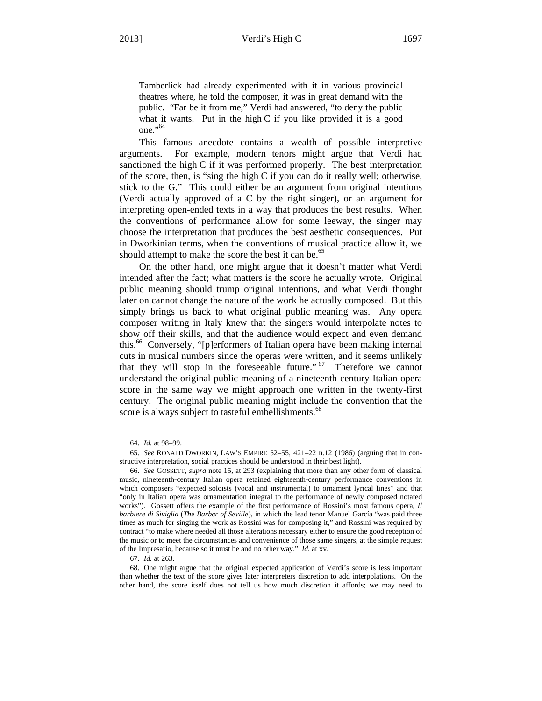Tamberlick had already experimented with it in various provincial theatres where, he told the composer, it was in great demand with the public. "Far be it from me," Verdi had answered, "to deny the public what it wants. Put in the high C if you like provided it is a good one."64

This famous anecdote contains a wealth of possible interpretive arguments. For example, modern tenors might argue that Verdi had sanctioned the high C if it was performed properly. The best interpretation of the score, then, is "sing the high C if you can do it really well; otherwise, stick to the G." This could either be an argument from original intentions (Verdi actually approved of a C by the right singer), or an argument for interpreting open-ended texts in a way that produces the best results. When the conventions of performance allow for some leeway, the singer may choose the interpretation that produces the best aesthetic consequences. Put in Dworkinian terms, when the conventions of musical practice allow it, we should attempt to make the score the best it can be.<sup>65</sup>

On the other hand, one might argue that it doesn't matter what Verdi intended after the fact; what matters is the score he actually wrote. Original public meaning should trump original intentions, and what Verdi thought later on cannot change the nature of the work he actually composed. But this simply brings us back to what original public meaning was. Any opera composer writing in Italy knew that the singers would interpolate notes to show off their skills, and that the audience would expect and even demand this.<sup>66</sup> Conversely, "[p]erformers of Italian opera have been making internal cuts in musical numbers since the operas were written, and it seems unlikely that they will stop in the foreseeable future."<sup>67</sup> Therefore we cannot understand the original public meaning of a nineteenth-century Italian opera score in the same way we might approach one written in the twenty-first century. The original public meaning might include the convention that the score is always subject to tasteful embellishments.<sup>68</sup>

<sup>64.</sup> *Id.* at 98–99.

<sup>65.</sup> *See* RONALD DWORKIN, LAW'S EMPIRE 52–55, 421–22 n.12 (1986) (arguing that in constructive interpretation, social practices should be understood in their best light).

<sup>66.</sup> *See* GOSSETT, *supra* note 15, at 293 (explaining that more than any other form of classical music, nineteenth-century Italian opera retained eighteenth-century performance conventions in which composers "expected soloists (vocal and instrumental) to ornament lyrical lines" and that "only in Italian opera was ornamentation integral to the performance of newly composed notated works"). Gossett offers the example of the first performance of Rossini's most famous opera, *Il barbiere di Siviglia* (*The Barber of Seville*), in which the lead tenor Manuel García "was paid three times as much for singing the work as Rossini was for composing it," and Rossini was required by contract "to make where needed all those alterations necessary either to ensure the good reception of the music or to meet the circumstances and convenience of those same singers, at the simple request of the Impresario, because so it must be and no other way." *Id.* at xv.

<sup>67.</sup> *Id.* at 263.

<sup>68.</sup> One might argue that the original expected application of Verdi's score is less important than whether the text of the score gives later interpreters discretion to add interpolations. On the other hand, the score itself does not tell us how much discretion it affords; we may need to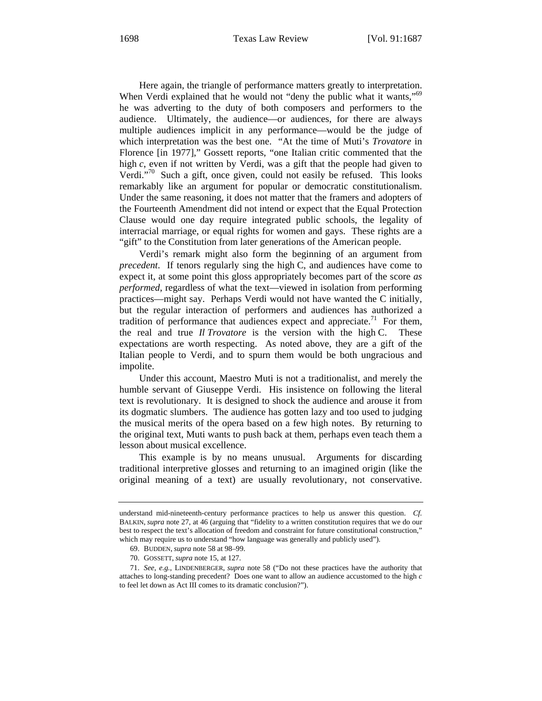Here again, the triangle of performance matters greatly to interpretation. When Verdi explained that he would not "deny the public what it wants,"<sup>69</sup> he was adverting to the duty of both composers and performers to the audience. Ultimately, the audience—or audiences, for there are always multiple audiences implicit in any performance—would be the judge of which interpretation was the best one. "At the time of Muti's *Trovatore* in Florence [in 1977]," Gossett reports, "one Italian critic commented that the high *c*, even if not written by Verdi, was a gift that the people had given to Verdi."70 Such a gift, once given, could not easily be refused. This looks remarkably like an argument for popular or democratic constitutionalism. Under the same reasoning, it does not matter that the framers and adopters of the Fourteenth Amendment did not intend or expect that the Equal Protection Clause would one day require integrated public schools, the legality of interracial marriage, or equal rights for women and gays. These rights are a "gift" to the Constitution from later generations of the American people.

Verdi's remark might also form the beginning of an argument from *precedent*. If tenors regularly sing the high C, and audiences have come to expect it, at some point this gloss appropriately becomes part of the score *as performed*, regardless of what the text—viewed in isolation from performing practices—might say. Perhaps Verdi would not have wanted the C initially, but the regular interaction of performers and audiences has authorized a tradition of performance that audiences expect and appreciate.<sup>71</sup> For them, the real and true *Il Trovatore* is the version with the high C. These expectations are worth respecting. As noted above, they are a gift of the Italian people to Verdi, and to spurn them would be both ungracious and impolite.

Under this account, Maestro Muti is not a traditionalist, and merely the humble servant of Giuseppe Verdi. His insistence on following the literal text is revolutionary. It is designed to shock the audience and arouse it from its dogmatic slumbers. The audience has gotten lazy and too used to judging the musical merits of the opera based on a few high notes. By returning to the original text, Muti wants to push back at them, perhaps even teach them a lesson about musical excellence.

This example is by no means unusual. Arguments for discarding traditional interpretive glosses and returning to an imagined origin (like the original meaning of a text) are usually revolutionary, not conservative.

understand mid-nineteenth-century performance practices to help us answer this question. *Cf.* BALKIN, *supra* note 27, at 46 (arguing that "fidelity to a written constitution requires that we do our best to respect the text's allocation of freedom and constraint for future constitutional construction," which may require us to understand "how language was generally and publicly used").

<sup>69.</sup> BUDDEN, *supra* note 58 at 98–99.

<sup>70.</sup> GOSSETT, *supra* note 15, at 127.

<sup>71.</sup> *See, e.g.*, LINDENBERGER, *supra* note 58 ("Do not these practices have the authority that attaches to long-standing precedent? Does one want to allow an audience accustomed to the high *c* to feel let down as Act III comes to its dramatic conclusion?").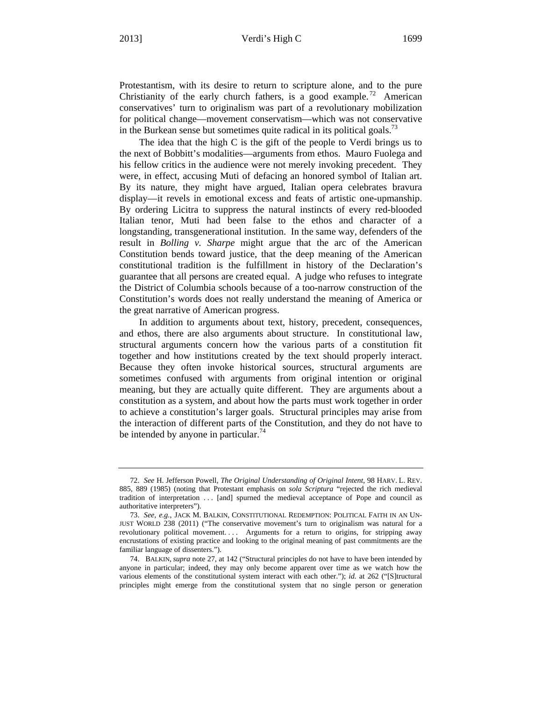Protestantism, with its desire to return to scripture alone, and to the pure Christianity of the early church fathers, is a good example.<sup>72</sup> American conservatives' turn to originalism was part of a revolutionary mobilization for political change—movement conservatism—which was not conservative in the Burkean sense but sometimes quite radical in its political goals.<sup>73</sup>

The idea that the high C is the gift of the people to Verdi brings us to the next of Bobbitt's modalities—arguments from ethos. Mauro Fuolega and his fellow critics in the audience were not merely invoking precedent. They were, in effect, accusing Muti of defacing an honored symbol of Italian art. By its nature, they might have argued, Italian opera celebrates bravura display—it revels in emotional excess and feats of artistic one-upmanship. By ordering Licitra to suppress the natural instincts of every red-blooded Italian tenor, Muti had been false to the ethos and character of a longstanding, transgenerational institution. In the same way, defenders of the result in *Bolling v. Sharpe* might argue that the arc of the American Constitution bends toward justice, that the deep meaning of the American constitutional tradition is the fulfillment in history of the Declaration's guarantee that all persons are created equal. A judge who refuses to integrate the District of Columbia schools because of a too-narrow construction of the Constitution's words does not really understand the meaning of America or the great narrative of American progress.

In addition to arguments about text, history, precedent, consequences, and ethos, there are also arguments about structure. In constitutional law, structural arguments concern how the various parts of a constitution fit together and how institutions created by the text should properly interact. Because they often invoke historical sources, structural arguments are sometimes confused with arguments from original intention or original meaning, but they are actually quite different. They are arguments about a constitution as a system, and about how the parts must work together in order to achieve a constitution's larger goals. Structural principles may arise from the interaction of different parts of the Constitution, and they do not have to be intended by anyone in particular.<sup>74</sup>

<sup>72.</sup> *See* H. Jefferson Powell, *The Original Understanding of Original Intent*, 98 HARV. L. REV. 885, 889 (1985) (noting that Protestant emphasis on *sola Scriptura* "rejected the rich medieval tradition of interpretation . . . [and] spurned the medieval acceptance of Pope and council as authoritative interpreters").

<sup>73.</sup> *See, e.g.*, JACK M. BALKIN, CONSTITUTIONAL REDEMPTION: POLITICAL FAITH IN AN UN-JUST WORLD 238 (2011) ("The conservative movement's turn to originalism was natural for a revolutionary political movement. . . . Arguments for a return to origins, for stripping away encrustations of existing practice and looking to the original meaning of past commitments are the familiar language of dissenters.").

<sup>74.</sup> BALKIN, *supra* note 27, at 142 ("Structural principles do not have to have been intended by anyone in particular; indeed, they may only become apparent over time as we watch how the various elements of the constitutional system interact with each other."); *id.* at 262 ("[S]tructural principles might emerge from the constitutional system that no single person or generation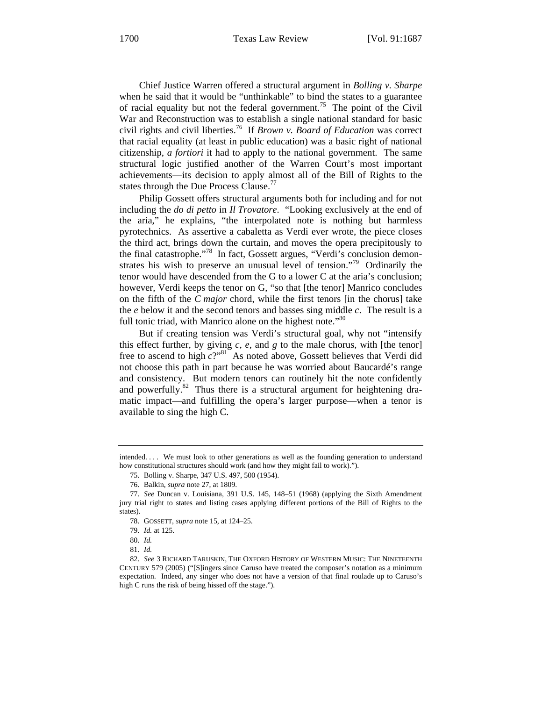Chief Justice Warren offered a structural argument in *Bolling v. Sharpe* when he said that it would be "unthinkable" to bind the states to a guarantee of racial equality but not the federal government.<sup>75</sup> The point of the Civil War and Reconstruction was to establish a single national standard for basic civil rights and civil liberties.76 If *Brown v. Board of Education* was correct that racial equality (at least in public education) was a basic right of national citizenship, *a fortiori* it had to apply to the national government. The same structural logic justified another of the Warren Court's most important achievements—its decision to apply almost all of the Bill of Rights to the states through the Due Process Clause.<sup>77</sup>

Philip Gossett offers structural arguments both for including and for not including the *do di petto* in *Il Trovatore*. "Looking exclusively at the end of the aria," he explains, "the interpolated note is nothing but harmless pyrotechnics. As assertive a cabaletta as Verdi ever wrote, the piece closes the third act, brings down the curtain, and moves the opera precipitously to the final catastrophe."78 In fact, Gossett argues, "Verdi's conclusion demonstrates his wish to preserve an unusual level of tension."<sup>79</sup> Ordinarily the tenor would have descended from the G to a lower C at the aria's conclusion; however, Verdi keeps the tenor on G, "so that [the tenor] Manrico concludes on the fifth of the *C major* chord, while the first tenors [in the chorus] take the *e* below it and the second tenors and basses sing middle *c*. The result is a full tonic triad, with Manrico alone on the highest note."<sup>80</sup>

But if creating tension was Verdi's structural goal, why not "intensify this effect further, by giving *c*, *e*, and *g* to the male chorus, with [the tenor] free to ascend to high *c*?"81 As noted above, Gossett believes that Verdi did not choose this path in part because he was worried about Baucardé's range and consistency. But modern tenors can routinely hit the note confidently and powerfully. $82$  Thus there is a structural argument for heightening dramatic impact—and fulfilling the opera's larger purpose—when a tenor is available to sing the high C.

intended. . . . We must look to other generations as well as the founding generation to understand how constitutional structures should work (and how they might fail to work).").

<sup>75.</sup> Bolling v. Sharpe, 347 U.S. 497, 500 (1954).

<sup>76.</sup> Balkin, *supra* note 27, at 1809.

<sup>77.</sup> *See* Duncan v. Louisiana, 391 U.S. 145, 148–51 (1968) (applying the Sixth Amendment jury trial right to states and listing cases applying different portions of the Bill of Rights to the states).

<sup>78.</sup> GOSSETT, *supra* note 15, at 124–25.

<sup>79.</sup> *Id.* at 125.

<sup>80.</sup> *Id.*

<sup>81.</sup> *Id.*

<sup>82.</sup> *See* 3 RICHARD TARUSKIN, THE OXFORD HISTORY OF WESTERN MUSIC: THE NINETEENTH CENTURY 579 (2005) ("[S]ingers since Caruso have treated the composer's notation as a minimum expectation. Indeed, any singer who does not have a version of that final roulade up to Caruso's high C runs the risk of being hissed off the stage.").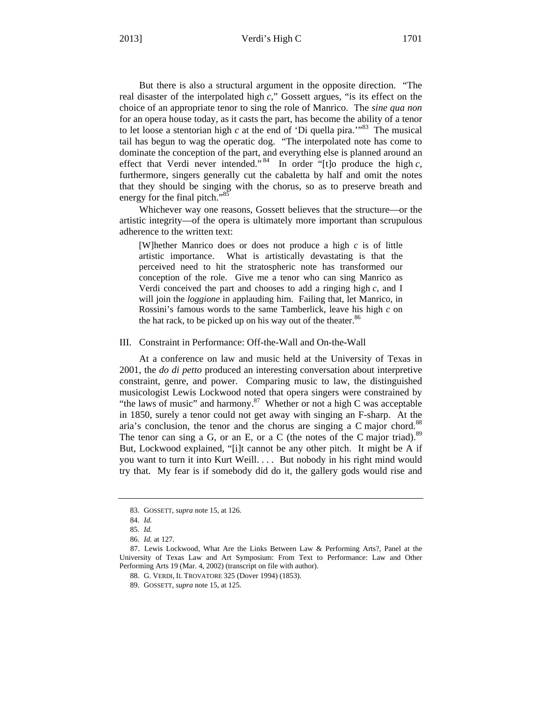But there is also a structural argument in the opposite direction. "The real disaster of the interpolated high *c*," Gossett argues, "is its effect on the choice of an appropriate tenor to sing the role of Manrico. The *sine qua non* for an opera house today, as it casts the part, has become the ability of a tenor to let loose a stentorian high  $c$  at the end of 'Di quella pira.<sup> $183$ </sup> The musical tail has begun to wag the operatic dog. "The interpolated note has come to dominate the conception of the part, and everything else is planned around an effect that Verdi never intended." 84 In order "[t]o produce the high *c*, furthermore, singers generally cut the cabaletta by half and omit the notes that they should be singing with the chorus, so as to preserve breath and energy for the final pitch."<sup>85</sup>

Whichever way one reasons, Gossett believes that the structure—or the artistic integrity—of the opera is ultimately more important than scrupulous adherence to the written text:

[W]hether Manrico does or does not produce a high *c* is of little artistic importance. What is artistically devastating is that the perceived need to hit the stratospheric note has transformed our conception of the role. Give me a tenor who can sing Manrico as Verdi conceived the part and chooses to add a ringing high *c*, and I will join the *loggione* in applauding him. Failing that, let Manrico, in Rossini's famous words to the same Tamberlick, leave his high *c* on the hat rack, to be picked up on his way out of the theater. $86$ 

#### III. Constraint in Performance: Off-the-Wall and On-the-Wall

At a conference on law and music held at the University of Texas in 2001, the *do di petto* produced an interesting conversation about interpretive constraint, genre, and power. Comparing music to law, the distinguished musicologist Lewis Lockwood noted that opera singers were constrained by "the laws of music" and harmony. $87$  Whether or not a high C was acceptable in 1850, surely a tenor could not get away with singing an F-sharp. At the aria's conclusion, the tenor and the chorus are singing a C major chord.<sup>88</sup> The tenor can sing a G, or an E, or a C (the notes of the C major triad).<sup>89</sup> But, Lockwood explained, "[i]t cannot be any other pitch. It might be A if you want to turn it into Kurt Weill. . . . But nobody in his right mind would try that. My fear is if somebody did do it, the gallery gods would rise and

<sup>83.</sup> GOSSETT, *supra* note 15, at 126.

<sup>84.</sup> *Id.*

<sup>85.</sup> *Id.*

<sup>86.</sup> *Id.* at 127.

<sup>87.</sup> Lewis Lockwood, What Are the Links Between Law & Performing Arts?, Panel at the University of Texas Law and Art Symposium: From Text to Performance: Law and Other Performing Arts 19 (Mar. 4, 2002) (transcript on file with author).

<sup>88.</sup> G. VERDI, IL TROVATORE 325 (Dover 1994) (1853).

<sup>89.</sup> GOSSETT, *supra* note 15, at 125.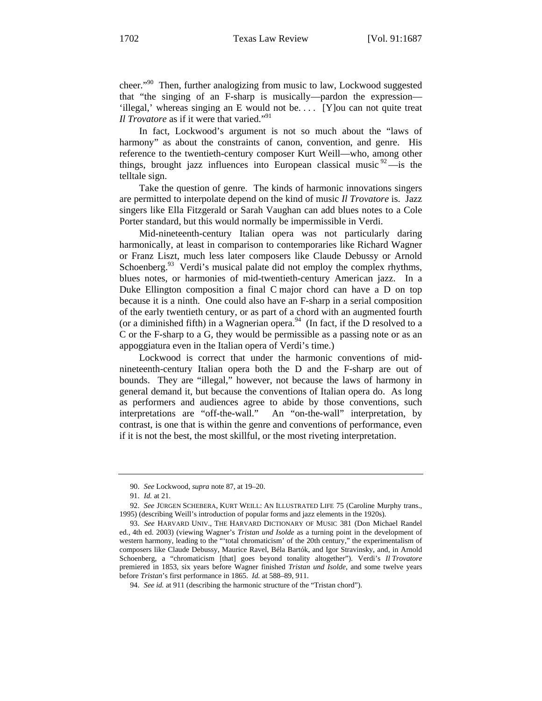cheer."90 Then, further analogizing from music to law, Lockwood suggested that "the singing of an F-sharp is musically—pardon the expression— 'illegal,' whereas singing an E would not be. . . . [Y]ou can not quite treat *Il Trovatore* as if it were that varied."<sup>91</sup>

In fact, Lockwood's argument is not so much about the "laws of harmony" as about the constraints of canon, convention, and genre. His reference to the twentieth-century composer Kurt Weill—who, among other things, brought jazz influences into European classical music  $\frac{92}{ }$  —is the telltale sign.

Take the question of genre. The kinds of harmonic innovations singers are permitted to interpolate depend on the kind of music *Il Trovatore* is. Jazz singers like Ella Fitzgerald or Sarah Vaughan can add blues notes to a Cole Porter standard, but this would normally be impermissible in Verdi.

Mid-nineteenth-century Italian opera was not particularly daring harmonically, at least in comparison to contemporaries like Richard Wagner or Franz Liszt, much less later composers like Claude Debussy or Arnold Schoenberg. $93$  Verdi's musical palate did not employ the complex rhythms, blues notes, or harmonies of mid-twentieth-century American jazz. In a Duke Ellington composition a final C major chord can have a D on top because it is a ninth. One could also have an F-sharp in a serial composition of the early twentieth century, or as part of a chord with an augmented fourth (or a diminished fifth) in a Wagnerian opera.<sup>94</sup> (In fact, if the D resolved to a C or the F-sharp to a G, they would be permissible as a passing note or as an appoggiatura even in the Italian opera of Verdi's time.)

Lockwood is correct that under the harmonic conventions of midnineteenth-century Italian opera both the D and the F-sharp are out of bounds. They are "illegal," however, not because the laws of harmony in general demand it, but because the conventions of Italian opera do. As long as performers and audiences agree to abide by those conventions, such interpretations are "off-the-wall." An "on-the-wall" interpretation, by contrast, is one that is within the genre and conventions of performance, even if it is not the best, the most skillful, or the most riveting interpretation.

<sup>90.</sup> *See* Lockwood, *supra* note 87, at 19–20.

<sup>91.</sup> *Id.* at 21.

<sup>92.</sup> *See* JÜRGEN SCHEBERA, KURT WEILL: AN ILLUSTRATED LIFE 75 (Caroline Murphy trans., 1995) (describing Weill's introduction of popular forms and jazz elements in the 1920s).

<sup>93.</sup> *See* HARVARD UNIV., THE HARVARD DICTIONARY OF MUSIC 381 (Don Michael Randel ed., 4th ed. 2003) (viewing Wagner's *Tristan und Isolde* as a turning point in the development of western harmony, leading to the "'total chromaticism' of the 20th century," the experimentalism of composers like Claude Debussy, Maurice Ravel, Béla Bartók, and Igor Stravinsky, and, in Arnold Schoenberg, a "chromaticism [that] goes beyond tonality altogether"). Verdi's *Il Trovatore* premiered in 1853, six years before Wagner finished *Tristan und Isolde*, and some twelve years before *Tristan*'s first performance in 1865. *Id.* at 588–89, 911.

<sup>94.</sup> *See id.* at 911 (describing the harmonic structure of the "Tristan chord").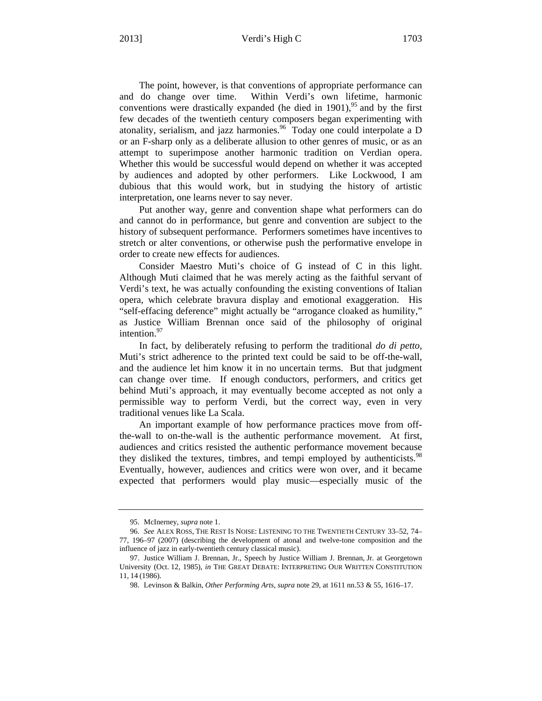The point, however, is that conventions of appropriate performance can and do change over time. Within Verdi's own lifetime, harmonic conventions were drastically expanded (he died in  $1901$ ),  $^{95}$  and by the first few decades of the twentieth century composers began experimenting with atonality, serialism, and jazz harmonies.<sup>96</sup> Today one could interpolate a D or an F-sharp only as a deliberate allusion to other genres of music, or as an attempt to superimpose another harmonic tradition on Verdian opera. Whether this would be successful would depend on whether it was accepted by audiences and adopted by other performers. Like Lockwood, I am dubious that this would work, but in studying the history of artistic interpretation, one learns never to say never.

Put another way, genre and convention shape what performers can do and cannot do in performance, but genre and convention are subject to the history of subsequent performance. Performers sometimes have incentives to stretch or alter conventions, or otherwise push the performative envelope in order to create new effects for audiences.

Consider Maestro Muti's choice of G instead of C in this light. Although Muti claimed that he was merely acting as the faithful servant of Verdi's text, he was actually confounding the existing conventions of Italian opera, which celebrate bravura display and emotional exaggeration. His "self-effacing deference" might actually be "arrogance cloaked as humility," as Justice William Brennan once said of the philosophy of original intention. $97$ 

In fact, by deliberately refusing to perform the traditional *do di petto*, Muti's strict adherence to the printed text could be said to be off-the-wall, and the audience let him know it in no uncertain terms. But that judgment can change over time. If enough conductors, performers, and critics get behind Muti's approach, it may eventually become accepted as not only a permissible way to perform Verdi, but the correct way, even in very traditional venues like La Scala.

An important example of how performance practices move from offthe-wall to on-the-wall is the authentic performance movement. At first, audiences and critics resisted the authentic performance movement because they disliked the textures, timbres, and tempi employed by authenticists.<sup>98</sup> Eventually, however, audiences and critics were won over, and it became expected that performers would play music—especially music of the

<sup>95.</sup> McInerney, *supra* note 1.

<sup>96.</sup> *See* ALEX ROSS, THE REST IS NOISE: LISTENING TO THE TWENTIETH CENTURY 33–52, 74– 77, 196–97 (2007) (describing the development of atonal and twelve-tone composition and the influence of jazz in early-twentieth century classical music).

<sup>97.</sup> Justice William J. Brennan, Jr., Speech by Justice William J. Brennan, Jr. at Georgetown University (Oct. 12, 1985), *in* THE GREAT DEBATE: INTERPRETING OUR WRITTEN CONSTITUTION 11, 14 (1986).

<sup>98.</sup> Levinson & Balkin, *Other Performing Arts*, *supra* note 29, at 1611 nn.53 & 55, 1616–17.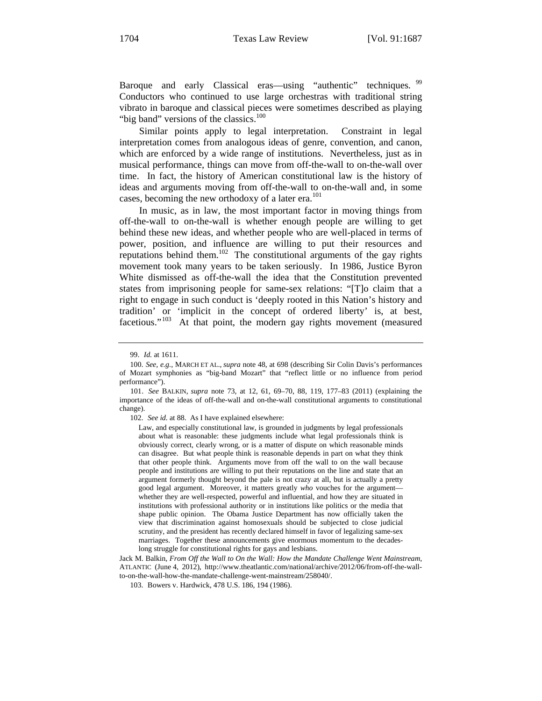Baroque and early Classical eras—using "authentic" techniques. <sup>99</sup> Conductors who continued to use large orchestras with traditional string vibrato in baroque and classical pieces were sometimes described as playing "big band" versions of the classics.<sup>100</sup>

Similar points apply to legal interpretation. Constraint in legal interpretation comes from analogous ideas of genre, convention, and canon, which are enforced by a wide range of institutions. Nevertheless, just as in musical performance, things can move from off-the-wall to on-the-wall over time. In fact, the history of American constitutional law is the history of ideas and arguments moving from off-the-wall to on-the-wall and, in some cases, becoming the new orthodoxy of a later era.<sup>101</sup>

In music, as in law, the most important factor in moving things from off-the-wall to on-the-wall is whether enough people are willing to get behind these new ideas, and whether people who are well-placed in terms of power, position, and influence are willing to put their resources and reputations behind them.102 The constitutional arguments of the gay rights movement took many years to be taken seriously. In 1986, Justice Byron White dismissed as off-the-wall the idea that the Constitution prevented states from imprisoning people for same-sex relations: "[T]o claim that a right to engage in such conduct is 'deeply rooted in this Nation's history and tradition' or 'implicit in the concept of ordered liberty' is, at best, facetious."<sup>103</sup> At that point, the modern gay rights movement (measured

<sup>99.</sup> *Id.* at 1611.

<sup>100.</sup> *See, e.g.*, MARCH ET AL., *supra* note 48, at 698 (describing Sir Colin Davis's performances of Mozart symphonies as "big-band Mozart" that "reflect little or no influence from period performance").

<sup>101.</sup> *See* BALKIN, *supra* note 73, at 12, 61, 69–70, 88, 119, 177–83 (2011) (explaining the importance of the ideas of off-the-wall and on-the-wall constitutional arguments to constitutional change).

<sup>102.</sup> *See id.* at 88. As I have explained elsewhere:

Law, and especially constitutional law, is grounded in judgments by legal professionals about what is reasonable: these judgments include what legal professionals think is obviously correct, clearly wrong, or is a matter of dispute on which reasonable minds can disagree. But what people think is reasonable depends in part on what they think that other people think. Arguments move from off the wall to on the wall because people and institutions are willing to put their reputations on the line and state that an argument formerly thought beyond the pale is not crazy at all, but is actually a pretty good legal argument. Moreover, it matters greatly *who* vouches for the argument whether they are well-respected, powerful and influential, and how they are situated in institutions with professional authority or in institutions like politics or the media that shape public opinion. The Obama Justice Department has now officially taken the view that discrimination against homosexuals should be subjected to close judicial scrutiny, and the president has recently declared himself in favor of legalizing same-sex marriages. Together these announcements give enormous momentum to the decadeslong struggle for constitutional rights for gays and lesbians.

Jack M. Balkin, *From Off the Wall to On the Wall: How the Mandate Challenge Went Mainstream*, ATLANTIC (June 4, 2012), http://www.theatlantic.com/national/archive/2012/06/from-off-the-wallto-on-the-wall-how-the-mandate-challenge-went-mainstream/258040/.

<sup>103.</sup> Bowers v. Hardwick, 478 U.S. 186, 194 (1986).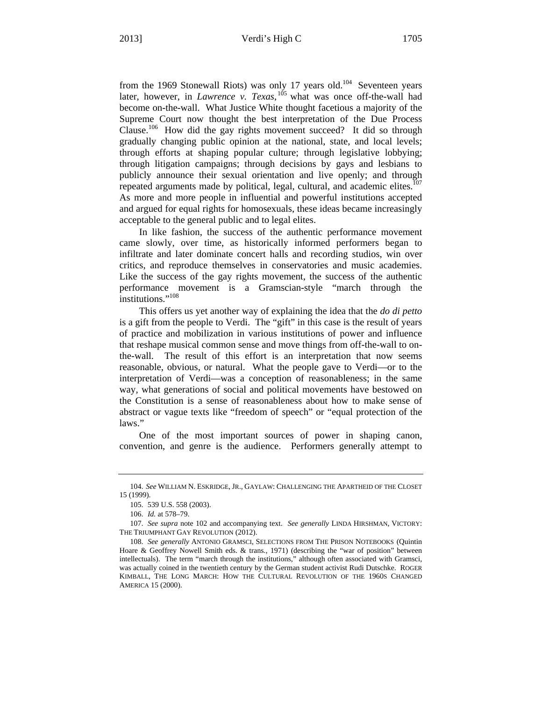from the 1969 Stonewall Riots) was only 17 years old.<sup>104</sup> Seventeen years later, however, in *Lawrence v. Texas*, 105 what was once off-the-wall had become on-the-wall. What Justice White thought facetious a majority of the Supreme Court now thought the best interpretation of the Due Process Clause.106 How did the gay rights movement succeed? It did so through gradually changing public opinion at the national, state, and local levels; through efforts at shaping popular culture; through legislative lobbying; through litigation campaigns; through decisions by gays and lesbians to publicly announce their sexual orientation and live openly; and through repeated arguments made by political, legal, cultural, and academic elites.<sup>107</sup> As more and more people in influential and powerful institutions accepted and argued for equal rights for homosexuals, these ideas became increasingly acceptable to the general public and to legal elites.

In like fashion, the success of the authentic performance movement came slowly, over time, as historically informed performers began to infiltrate and later dominate concert halls and recording studios, win over critics, and reproduce themselves in conservatories and music academies. Like the success of the gay rights movement, the success of the authentic performance movement is a Gramscian-style "march through the institutions."<sup>108</sup>

This offers us yet another way of explaining the idea that the *do di petto* is a gift from the people to Verdi. The "gift" in this case is the result of years of practice and mobilization in various institutions of power and influence that reshape musical common sense and move things from off-the-wall to onthe-wall. The result of this effort is an interpretation that now seems reasonable, obvious, or natural. What the people gave to Verdi—or to the interpretation of Verdi—was a conception of reasonableness; in the same way, what generations of social and political movements have bestowed on the Constitution is a sense of reasonableness about how to make sense of abstract or vague texts like "freedom of speech" or "equal protection of the laws."

One of the most important sources of power in shaping canon, convention, and genre is the audience. Performers generally attempt to

<sup>104.</sup> *See* WILLIAM N. ESKRIDGE, JR., GAYLAW: CHALLENGING THE APARTHEID OF THE CLOSET 15 (1999).

<sup>105. 539</sup> U.S. 558 (2003).

<sup>106.</sup> *Id.* at 578–79.

<sup>107.</sup> *See supra* note 102 and accompanying text. *See generally* LINDA HIRSHMAN, VICTORY: THE TRIUMPHANT GAY REVOLUTION (2012).

<sup>108.</sup> *See generally* ANTONIO GRAMSCI, SELECTIONS FROM THE PRISON NOTEBOOKS (Quintin Hoare & Geoffrey Nowell Smith eds. & trans., 1971) (describing the "war of position" between intellectuals). The term "march through the institutions," although often associated with Gramsci, was actually coined in the twentieth century by the German student activist Rudi Dutschke. ROGER KIMBALL, THE LONG MARCH: HOW THE CULTURAL REVOLUTION OF THE 1960S CHANGED AMERICA 15 (2000).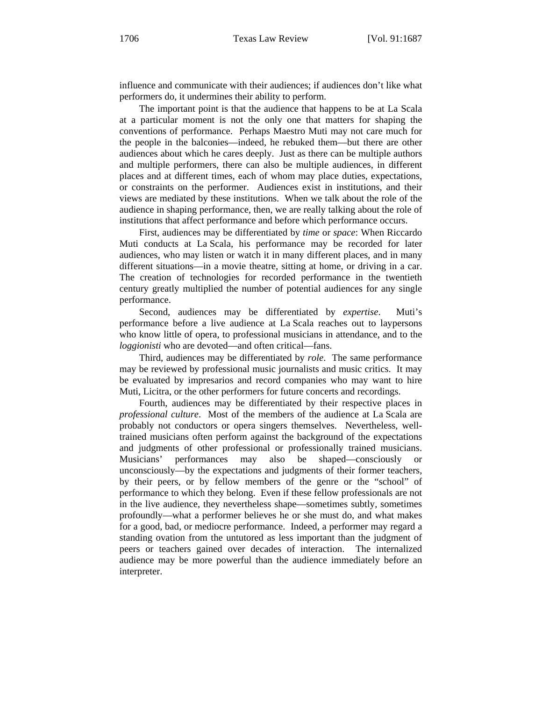influence and communicate with their audiences; if audiences don't like what performers do, it undermines their ability to perform.

The important point is that the audience that happens to be at La Scala at a particular moment is not the only one that matters for shaping the conventions of performance. Perhaps Maestro Muti may not care much for the people in the balconies—indeed, he rebuked them—but there are other audiences about which he cares deeply. Just as there can be multiple authors and multiple performers, there can also be multiple audiences, in different places and at different times, each of whom may place duties, expectations, or constraints on the performer. Audiences exist in institutions, and their views are mediated by these institutions. When we talk about the role of the audience in shaping performance, then, we are really talking about the role of institutions that affect performance and before which performance occurs.

First, audiences may be differentiated by *time* or *space*: When Riccardo Muti conducts at La Scala, his performance may be recorded for later audiences, who may listen or watch it in many different places, and in many different situations—in a movie theatre, sitting at home, or driving in a car. The creation of technologies for recorded performance in the twentieth century greatly multiplied the number of potential audiences for any single performance.

Second, audiences may be differentiated by *expertise*. Muti's performance before a live audience at La Scala reaches out to laypersons who know little of opera, to professional musicians in attendance, and to the *loggionisti* who are devoted—and often critical—fans.

Third, audiences may be differentiated by *role*. The same performance may be reviewed by professional music journalists and music critics. It may be evaluated by impresarios and record companies who may want to hire Muti, Licitra, or the other performers for future concerts and recordings.

Fourth, audiences may be differentiated by their respective places in *professional culture*. Most of the members of the audience at La Scala are probably not conductors or opera singers themselves. Nevertheless, welltrained musicians often perform against the background of the expectations and judgments of other professional or professionally trained musicians. Musicians' performances may also be shaped—consciously unconsciously—by the expectations and judgments of their former teachers, by their peers, or by fellow members of the genre or the "school" of performance to which they belong. Even if these fellow professionals are not in the live audience, they nevertheless shape—sometimes subtly, sometimes profoundly—what a performer believes he or she must do, and what makes for a good, bad, or mediocre performance. Indeed, a performer may regard a standing ovation from the untutored as less important than the judgment of peers or teachers gained over decades of interaction. The internalized audience may be more powerful than the audience immediately before an interpreter.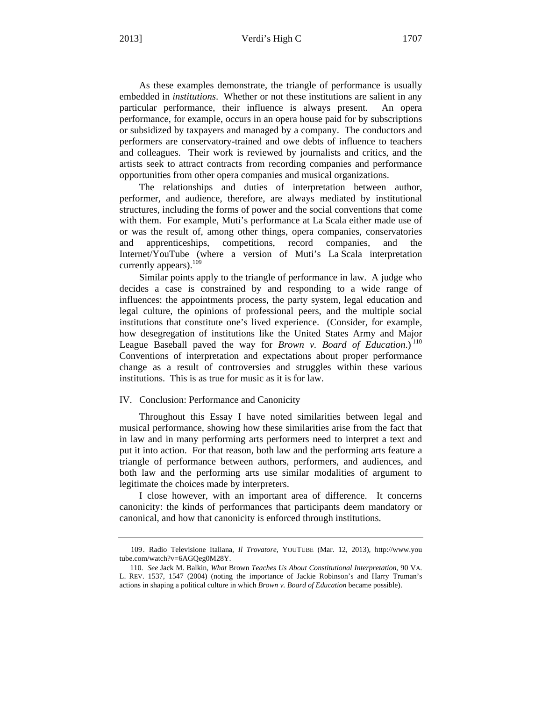## 2013] Verdi's High C 1707

As these examples demonstrate, the triangle of performance is usually embedded in *institutions*. Whether or not these institutions are salient in any particular performance, their influence is always present. An opera performance, for example, occurs in an opera house paid for by subscriptions or subsidized by taxpayers and managed by a company. The conductors and performers are conservatory-trained and owe debts of influence to teachers and colleagues. Their work is reviewed by journalists and critics, and the artists seek to attract contracts from recording companies and performance opportunities from other opera companies and musical organizations.

The relationships and duties of interpretation between author, performer, and audience, therefore, are always mediated by institutional structures, including the forms of power and the social conventions that come with them. For example, Muti's performance at La Scala either made use of or was the result of, among other things, opera companies, conservatories and apprenticeships, competitions, record companies, and the Internet/YouTube (where a version of Muti's La Scala interpretation currently appears).<sup>109</sup>

Similar points apply to the triangle of performance in law. A judge who decides a case is constrained by and responding to a wide range of influences: the appointments process, the party system, legal education and legal culture, the opinions of professional peers, and the multiple social institutions that constitute one's lived experience. (Consider, for example, how desegregation of institutions like the United States Army and Major League Baseball paved the way for *Brown v. Board of Education*.)<sup>110</sup> Conventions of interpretation and expectations about proper performance change as a result of controversies and struggles within these various institutions. This is as true for music as it is for law.

### IV. Conclusion: Performance and Canonicity

Throughout this Essay I have noted similarities between legal and musical performance, showing how these similarities arise from the fact that in law and in many performing arts performers need to interpret a text and put it into action. For that reason, both law and the performing arts feature a triangle of performance between authors, performers, and audiences, and both law and the performing arts use similar modalities of argument to legitimate the choices made by interpreters.

I close however, with an important area of difference. It concerns canonicity: the kinds of performances that participants deem mandatory or canonical, and how that canonicity is enforced through institutions.

<sup>109.</sup> Radio Televisione Italiana, *Il Trovatore*, YOUTUBE (Mar. 12, 2013), http://www.you tube.com/watch?v=6AGQeg0M28Y.

<sup>110.</sup> *See* Jack M. Balkin, *What* Brown *Teaches Us About Constitutional Interpretation*, 90 VA. L. REV. 1537, 1547 (2004) (noting the importance of Jackie Robinson's and Harry Truman's actions in shaping a political culture in which *Brown v. Board of Education* became possible).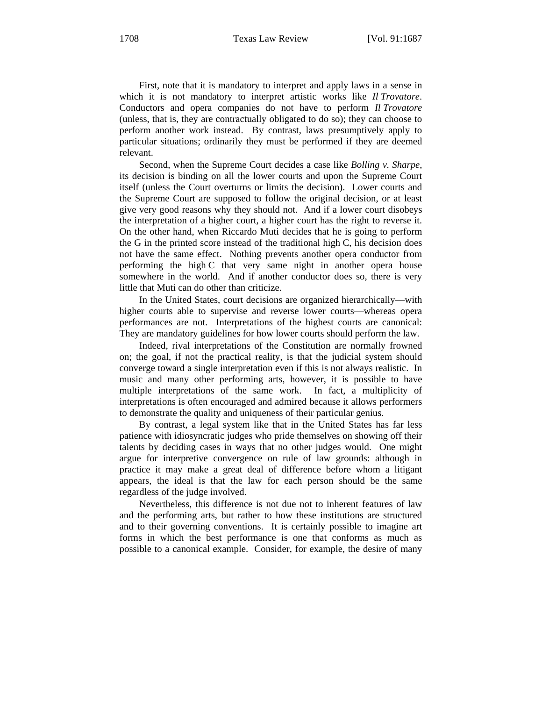First, note that it is mandatory to interpret and apply laws in a sense in which it is not mandatory to interpret artistic works like *Il Trovatore*. Conductors and opera companies do not have to perform *Il Trovatore*  (unless, that is, they are contractually obligated to do so); they can choose to perform another work instead. By contrast, laws presumptively apply to particular situations; ordinarily they must be performed if they are deemed relevant.

Second, when the Supreme Court decides a case like *Bolling v. Sharpe*, its decision is binding on all the lower courts and upon the Supreme Court itself (unless the Court overturns or limits the decision). Lower courts and the Supreme Court are supposed to follow the original decision, or at least give very good reasons why they should not. And if a lower court disobeys the interpretation of a higher court, a higher court has the right to reverse it. On the other hand, when Riccardo Muti decides that he is going to perform the G in the printed score instead of the traditional high C, his decision does not have the same effect. Nothing prevents another opera conductor from performing the high C that very same night in another opera house somewhere in the world. And if another conductor does so, there is very little that Muti can do other than criticize.

In the United States, court decisions are organized hierarchically—with higher courts able to supervise and reverse lower courts—whereas opera performances are not. Interpretations of the highest courts are canonical: They are mandatory guidelines for how lower courts should perform the law.

Indeed, rival interpretations of the Constitution are normally frowned on; the goal, if not the practical reality, is that the judicial system should converge toward a single interpretation even if this is not always realistic. In music and many other performing arts, however, it is possible to have multiple interpretations of the same work. In fact, a multiplicity of interpretations is often encouraged and admired because it allows performers to demonstrate the quality and uniqueness of their particular genius.

By contrast, a legal system like that in the United States has far less patience with idiosyncratic judges who pride themselves on showing off their talents by deciding cases in ways that no other judges would. One might argue for interpretive convergence on rule of law grounds: although in practice it may make a great deal of difference before whom a litigant appears, the ideal is that the law for each person should be the same regardless of the judge involved.

Nevertheless, this difference is not due not to inherent features of law and the performing arts, but rather to how these institutions are structured and to their governing conventions. It is certainly possible to imagine art forms in which the best performance is one that conforms as much as possible to a canonical example. Consider, for example, the desire of many